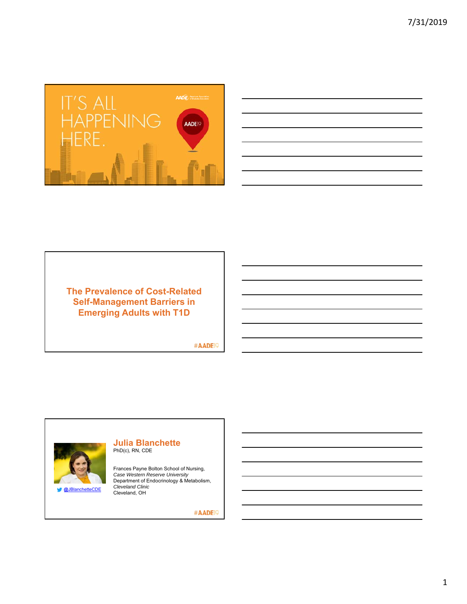

| <u>state of the contract of the contract of the contract of the contract of the contract of the contract of the contract of the contract of the contract of the contract of the contract of the contract of the contract of the </u> |  |                                   |
|--------------------------------------------------------------------------------------------------------------------------------------------------------------------------------------------------------------------------------------|--|-----------------------------------|
|                                                                                                                                                                                                                                      |  |                                   |
|                                                                                                                                                                                                                                      |  |                                   |
|                                                                                                                                                                                                                                      |  |                                   |
|                                                                                                                                                                                                                                      |  |                                   |
|                                                                                                                                                                                                                                      |  |                                   |
|                                                                                                                                                                                                                                      |  |                                   |
|                                                                                                                                                                                                                                      |  |                                   |
|                                                                                                                                                                                                                                      |  |                                   |
|                                                                                                                                                                                                                                      |  |                                   |
| and the control of the control of the control of the control of the control of the control of the control of the                                                                                                                     |  |                                   |
|                                                                                                                                                                                                                                      |  |                                   |
|                                                                                                                                                                                                                                      |  |                                   |
|                                                                                                                                                                                                                                      |  |                                   |
|                                                                                                                                                                                                                                      |  |                                   |
|                                                                                                                                                                                                                                      |  |                                   |
|                                                                                                                                                                                                                                      |  |                                   |
|                                                                                                                                                                                                                                      |  |                                   |
|                                                                                                                                                                                                                                      |  |                                   |
| <u> The Common State of the Common State of the Common State of the Common State of the Common State of the Common</u>                                                                                                               |  |                                   |
|                                                                                                                                                                                                                                      |  |                                   |
|                                                                                                                                                                                                                                      |  |                                   |
|                                                                                                                                                                                                                                      |  |                                   |
|                                                                                                                                                                                                                                      |  |                                   |
|                                                                                                                                                                                                                                      |  |                                   |
|                                                                                                                                                                                                                                      |  |                                   |
|                                                                                                                                                                                                                                      |  |                                   |
|                                                                                                                                                                                                                                      |  |                                   |
|                                                                                                                                                                                                                                      |  |                                   |
| <u> 1989 - Jan Samuel Barbara, margaret e a seu a componente de la componentación de la componentación de la compo</u>                                                                                                               |  |                                   |
|                                                                                                                                                                                                                                      |  |                                   |
|                                                                                                                                                                                                                                      |  |                                   |
|                                                                                                                                                                                                                                      |  |                                   |
|                                                                                                                                                                                                                                      |  |                                   |
|                                                                                                                                                                                                                                      |  |                                   |
|                                                                                                                                                                                                                                      |  |                                   |
|                                                                                                                                                                                                                                      |  |                                   |
|                                                                                                                                                                                                                                      |  |                                   |
| ,我们也不会有一个人的事情。""我们的人们,我们也不会有一个人的人,我们也不会有一个人的人,我们也不会有一个人的人,我们也不会有一个人的人,我们也不会有一个人的<br>第一百一十一章 我们的人,我们的人们的人们,我们的人们的人们的人们,我们的人们的人们的人们,我们的人们的人们的人们,我们的人们的人们,我们的人们的人们,我们的人                                                                 |  | and the control of the control of |
|                                                                                                                                                                                                                                      |  |                                   |
|                                                                                                                                                                                                                                      |  |                                   |
|                                                                                                                                                                                                                                      |  |                                   |
|                                                                                                                                                                                                                                      |  |                                   |
|                                                                                                                                                                                                                                      |  |                                   |
|                                                                                                                                                                                                                                      |  |                                   |
|                                                                                                                                                                                                                                      |  |                                   |
|                                                                                                                                                                                                                                      |  |                                   |
|                                                                                                                                                                                                                                      |  |                                   |
|                                                                                                                                                                                                                                      |  |                                   |

## **The Prevalence of Cost-Related Self-Management Barriers in Emerging Adults with T1D**

#AADE<sup>19</sup>



#### **Julia Blanchette** PhD(c), RN, CDE

Frances Payne Bolton School of Nursing, *Case Western Reserve University* Department of Endocrinology & Metabolism, *Cleveland Clinic*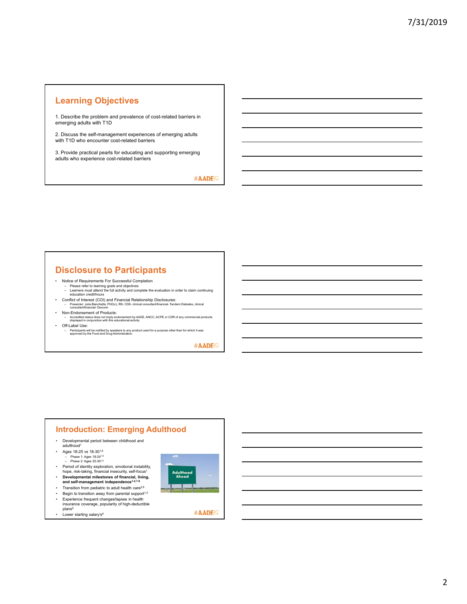## **Learning Objectives**

1. Describe the problem and prevalence of cost-related barriers in emerging adults with T1D

2. Discuss the self-management experiences of emerging adults with T1D who encounter cost-related barriers

3. Provide practical pearls for educating and supporting emerging adults who experience cost-related barriers

#AADE<sup>19</sup>

## **Disclosure to Participants**

- 
- Notice of Requirements For Successful Completion Please refer to learning goals and objectives Learners must attend the full activity and complete the evaluation in order to claim continuing education credit/hours
- Conflict of Interest (COI) and Financial Relationship Disclosures: Presenter: Julia Blanchette, PhD(c), RN, CDE- clinical consultant/financial- Tandem Diabetes, clinical consultant/financial- Dexcom
- Non-Endorsement of Products: – Accredited status does not imply endorsement by AADE, ANCC, ACPE or CDR of any commercial products displayed in conjunction with this educational activity
- Off-Label Use: – Participants will be notified by speakers to any product used for a purpose other than for which it was approved by the Food and Drug Administration.

#AADE<sup>19</sup>

#### • Developmental period between childhood and adulthood1 • Ages 18-25 vs 18-301,8 – Phase 1: Ages 18-241,8 – Phase 2: Ages 25-301,8 • Period of identity exploration, emotional instability, hope, risk-taking, financial insecurity, self-focus1 **Adulthood**<br>**Ahead •** Developmental milestones of financial, living,<br>and self-management independence<sup>1-2,7-9</sup> • Transition from pediatric to adult health care<sup>2,8</sup><br>• Begin to transition away from parental support<sup>4</sup> • Begin to transition away from parental support<sup>1-2</sup> • Experience frequent changes/lapses in health insurance coverage, popularity of high-deductible plans<sup>9</sup> #AADE<sup>19</sup> • Lower starting salary's<sup>9</sup>

**Introduction: Emerging Adulthood**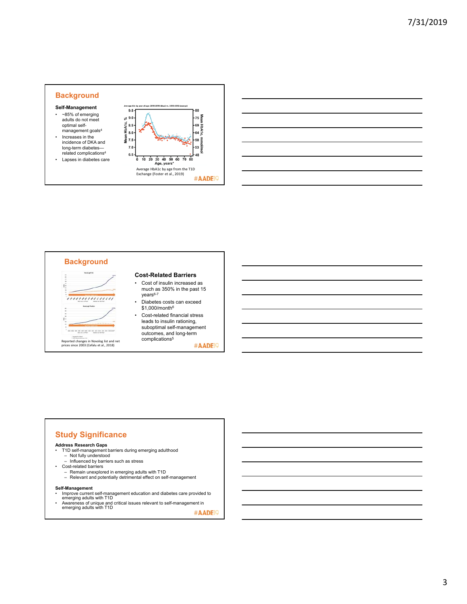



# **Background** É ,,,,,,,,,,,,,,, Reported changes in Novolog list and net **complications<sup>5</sup><br>prices since 2003 (Cefalu et al., 2018)**

#### **Cost-Related Barriers**

- Cost of insulin increased as much as 350% in the past 15  $years<sup>6-7</sup>$ • Diabetes costs can exceed
- \$1,000/month6
- Cost-related financial stress leads to insulin rationing, suboptimal self-management outcomes, and long-term<br>complications<sup>5</sup>

#AADE<sup>19</sup>

## **Study Significance**

#### **Address Research Gaps**

- T1D self-management barriers during emerging adulthood Not fully understood
	- Influenced by barriers such as stress
- Cost-related barriers
	- Remain unexplored in emerging adults with T1D Relevant and potentially detrimental effect on self-management
	-

**Self-Management**

- Improve current self-management education and diabetes care provided to emerging adults with T1D
- Awareness of unique and critical issues relevant to self-management in emerging adults with T1D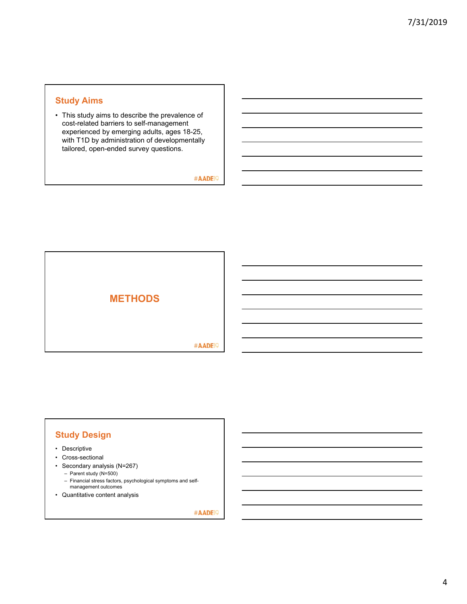## **Study Aims**

• This study aims to describe the prevalence of cost-related barriers to self-management experienced by emerging adults, ages 18-25, with T1D by administration of developmentally tailored, open-ended survey questions.

#AADE<sup>19</sup>



## **Study Design**

- Descriptive
- Cross-sectional
- Secondary analysis (N=267)
	- Parent study (N=500)
	- Financial stress factors, psychological symptoms and selfmanagement outcomes
- Quantitative content analysis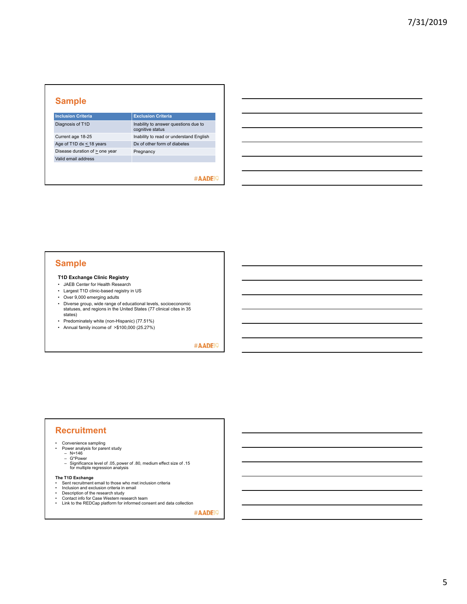## **Sample**

| <b>Inclusion Criteria</b>      | <b>Exclusion Criteria</b>                                |
|--------------------------------|----------------------------------------------------------|
| Diagnosis of T1D               | Inability to answer questions due to<br>cognitive status |
| Current age 18-25              | Inability to read or understand English                  |
| Age of T1D dx $\leq$ 18 years  | Dx of other form of diabetes                             |
| Disease duration of > one year | Pregnancy                                                |
| Valid email address            |                                                          |
|                                |                                                          |

#### #AADE<sup>19</sup>

## **Sample**

#### **T1D Exchange Clinic Registry**

- JAEB Center for Health Research • Largest T1D clinic-based registry in US
- Over 9,000 emerging adults
- Diverse group, wide range of educational levels, socioeconomic statuses, and regions in the United States (77 clinical cites in 35 states)
- Predominately white (non-Hispanic) (77.51%)
- Annual family income of >\$100,000 (25.27%)

#AADE<sup>19</sup>

## **Recruitment**

- Convenience sampling Power analysis for parent study N=146
	-
	-
	- G\*Power Significance level of .05, power of .80, medium effect size of .15 for multiple regression analysis

- **The T1D Exchange**  Sent recruitment email to those who met inclusion criteria Inclusion and exclusion criteria in email
- 
- 
- Description of the research study Contact info for Case Western research team Link to the REDCap platform for informed consent and data collection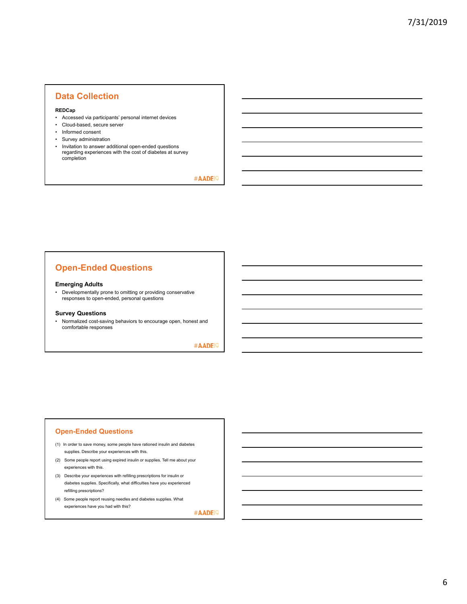## **Data Collection**

#### **REDCap**

- Accessed via participants' personal internet devices
- Cloud-based, secure server
- Informed consent
- Survey administration
- Invitation to answer additional open-ended questions regarding experiences with the cost of diabetes at survey completion

#AADE<sup>19</sup>

## **Open-Ended Questions**

#### **Emerging Adults**

• Developmentally prone to omitting or providing conservative responses to open-ended, personal questions

#### **Survey Questions**

• Normalized cost-saving behaviors to encourage open, honest and comfortable responses

#AADE<sup>19</sup>

#### **Open-Ended Questions**

- (1) In order to save money, some people have rationed insulin and diabetes supplies. Describe your experiences with this.
- (2) Some people report using expired insulin or supplies. Tell me about your experiences with this.
- (3) Describe your experiences with refilling prescriptions for insulin or diabetes supplies. Specifically, what difficulties have you experienced refilling prescriptions?
- (4) Some people report reusing needles and diabetes supplies. What experiences have you had with this?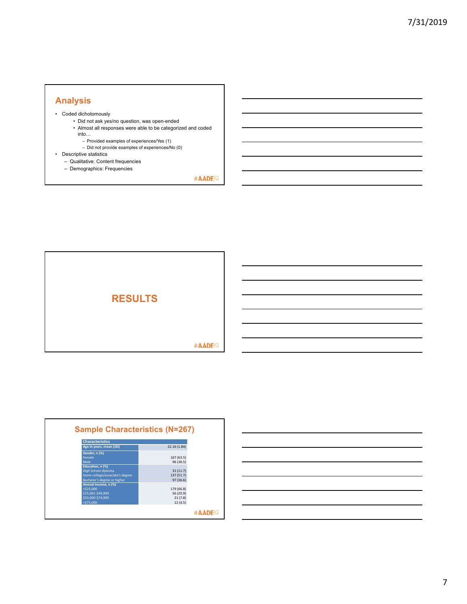## **Analysis**

- Coded dichotomously
	- Did not ask yes/no question, was open-ended
		- Almost all responses were able to be categorized and coded into…
			- Provided examples of experiences/Yes (1)
			- Did not provide examples of experiences/No (0)
- Descriptive statistics
	- Qualitative: Content frequencies – Demographics: Frequencies



| <b>Characteristics</b>          |              |
|---------------------------------|--------------|
| Age in years, mean (SD)         | 22.16 (1.84) |
| Gender, n (%)                   |              |
| Female                          | 167 (63.5)   |
| Male                            | 96 (36.5)    |
| Education, n (%)                |              |
| <b>High School diploma</b>      | 31(11.7)     |
| Some college/associate's degree | 137 (51.7)   |
| Bachelor's degree or higher     | 97 (36.6)    |
| Annual Income, n (%)            |              |
| $<$ \$25.000                    | 179 (66.8)   |
| \$25,001-\$49,999               | 56 (20.9)    |
| \$50,000-\$74,999               | 21(7.8)      |
| >\$75,000                       | 12(4.5)      |

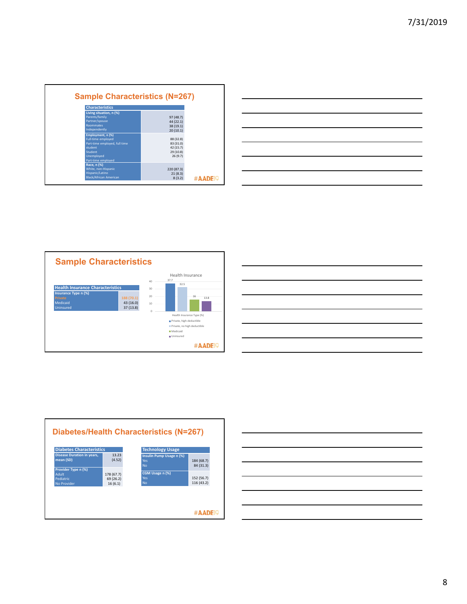| <b>Characteristics</b>        |               |  |
|-------------------------------|---------------|--|
| Living situation, n (%)       |               |  |
| Parents/family                | 97 (48.7)     |  |
| Partner/spouse                | 44 (22.1)     |  |
| <b>Roommates</b>              | 38 (19.1)     |  |
| Independently                 | 20(10.1)      |  |
| Employment, n (%)             |               |  |
| <b>Full-time employed</b>     | 88 (32.8)     |  |
| Part-time employed, full time | 83 (31.0)     |  |
| student                       | 42 (15.7)     |  |
| Student                       | 29 (10.8)     |  |
| Unemployed                    | 26(9.7)       |  |
| Part-time employed            |               |  |
| Race, n (%)                   |               |  |
| White, non-Hispanic           | 220 (87.3)    |  |
| Hispanic/Latino               | 21(8.3)       |  |
| <b>Black/African American</b> | 8(3.2)<br>#AA |  |

|                                                             |  |  | __ |
|-------------------------------------------------------------|--|--|----|
| <u> 1989 - Johann Stoff, amerikansk politiker (d. 1989)</u> |  |  |    |
|                                                             |  |  |    |







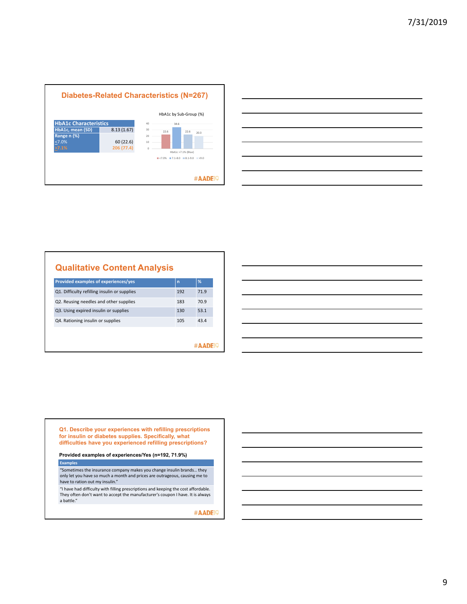



## **Qualitative Content Analysis**

| Provided examples of experiences/yes         | $\mathsf{n}$ | %    |  |
|----------------------------------------------|--------------|------|--|
| Q1. Difficulty refilling insulin or supplies | 192          | 71.9 |  |
| Q2. Reusing needles and other supplies       | 183          | 70.9 |  |
| Q3. Using expired insulin or supplies        | 130          | 53.1 |  |
| Q4. Rationing insulin or supplies            | 105          | 43.4 |  |
|                                              |              |      |  |
|                                              |              |      |  |
|                                              |              |      |  |

**Q1. Describe your experiences with refilling prescriptions for insulin or diabetes supplies. Specifically, what difficulties have you experienced refilling prescriptions?**

**Provided examples of experiences/Yes (n=192, 71.9%)**

**Examples**

"Sometimes the insurance company makes you change insulin brands… they only let you have so much a month and prices are outrageous, causing me to have to ration out my insulin."

"I have had difficulty with filling prescriptions and keeping the cost affordable. They often don't want to accept the manufacturer's coupon I have. It is always a battle."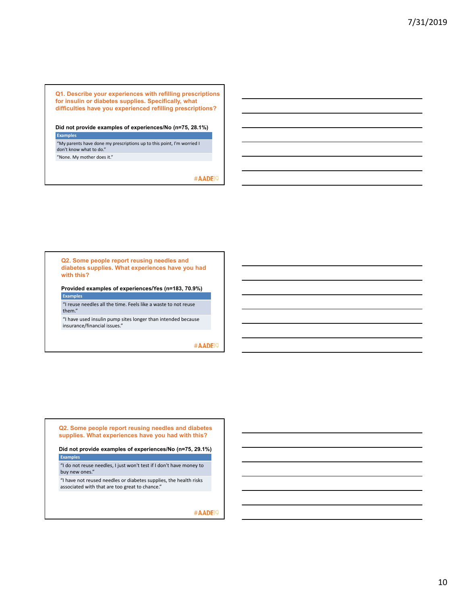**Q1. Describe your experiences with refilling prescriptions for insulin or diabetes supplies. Specifically, what difficulties have you experienced refilling prescriptions?** 

**Did not provide examples of experiences/No (n=75, 28.1%) Examples**

"My parents have done my prescriptions up to this point, I'm worried I don't know what to do."

"None. My mother does it."

#AADE<sup>19</sup>

**Q2. Some people report reusing needles and diabetes supplies. What experiences have you had with this?**

**Provided examples of experiences/Yes (n=183, 70.9%) Exam** 

"I reuse needles all the time. Feels like a waste to not reuse them."

"I have used insulin pump sites longer than intended because insurance/financial issues."

#AADE<sup>19</sup>

**Q2. Some people report reusing needles and diabetes supplies. What experiences have you had with this?**

**Did not provide examples of experiences/No (n=75, 29.1%)** 

**Examples** "I do not reuse needles, I just won't test if I don't have money to buy new ones."

"I have not reused needles or diabetes supplies, the health risks associated with that are too great to chance."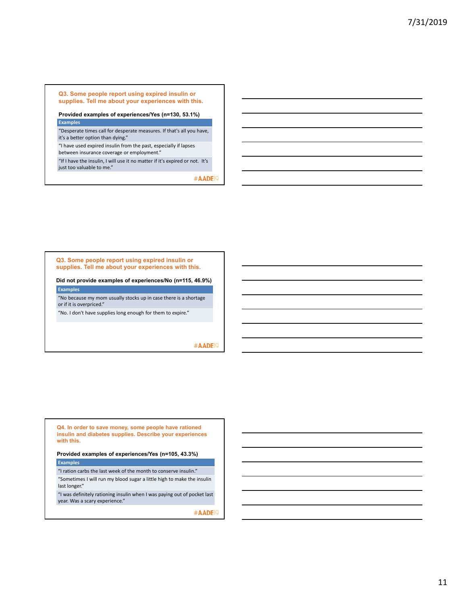**Q3. Some people report using expired insulin or supplies. Tell me about your experiences with this.**

#### **Provided examples of experiences/Yes (n=130, 53.1%) Examples**

"Desperate times call for desperate measures. If that's all you have, it's a better option than dying."

"I have used expired insulin from the past, especially if lapses between insurance coverage or employment."

"If I have the insulin, I will use it no matter if it's expired or not. It's just too valuable to me."

#AADE<sup>19</sup>

**Q3. Some people report using expired insulin or supplies. Tell me about your experiences with this.**

**Did not provide examples of experiences/No (n=115, 46.9%) Examples** 

"No because my mom usually stocks up in case there is a shortage or if it is overpriced."

"No. I don't have supplies long enough for them to expire."

#AADE<sup>19</sup>

**Q4. In order to save money, some people have rationed insulin and diabetes supplies. Describe your experiences with this.**

**Provided examples of experiences/Yes (n=105, 43.3%)** 

**Examples** 

"I ration carbs the last week of the month to conserve insulin." "Sometimes I will run my blood sugar a little high to make the insulin last longer."

"I was definitely rationing insulin when I was paying out of pocket last year. Was a scary experience."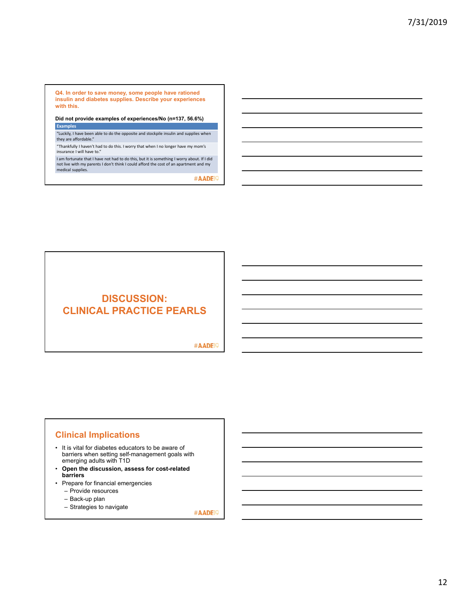**Q4. In order to save money, some people have rationed insulin and diabetes supplies. Describe your experiences with this.**

**Did not provide examples of experiences/No (n=137, 56.6%) Examples** 

"Luckily, I have been able to do the opposite and stockpile insulin and supplies when they are affordable."

"Thankfully I haven't had to do this. I worry that when I no longer have my mom's insurance I will have to."

I am fortunate that I have not had to do this, but it is something I worry about. If I did not live with my parents I don't think I could afford the cost of an apartment and my medical supplies.

#AADE<sup>19</sup>

## **DISCUSSION: CLINICAL PRACTICE PEARLS**

#AADE<sup>19</sup>

## **Clinical Implications**

- It is vital for diabetes educators to be aware of barriers when setting self-management goals with emerging adults with T1D
- **Open the discussion, assess for cost-related barriers**
- Prepare for financial emergencies
	- Provide resources
	- Back-up plan
	- Strategies to navigate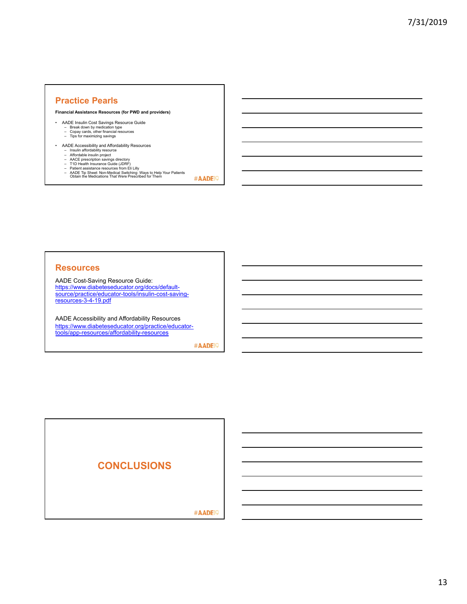## **Practice Pearls**

**Financial Assistance Resources (for PWD and providers)**

- 
- AADE Insulin Cost Savings Resource Guide Break down by medication type Copay cards, other financial resources Tips for maximizing savings
	-
- AADE Accessibility and Affordability Resources
	-
	-
	-
	- Insulin affordability resource<br>- Affordable insulin project<br>- AACE prescription savings directory<br>- T1D Health Insurance Guide (JDRF)<br>- Patient assistance resources from Eli Lilly<br>- AADE Tip Sheet: Non-Medical Switching:
		- #AADE<sup>19</sup>

#### **Resources**

AADE Cost-Saving Resource Guide: https://www.diabeteseducator.org/docs/defaultsource/practice/educator-tools/insulin-cost-savingresources-3-4-19.pdf

AADE Accessibility and Affordability Resources https://www.diabeteseducator.org/practice/educatortools/app-resources/affordability-resources

#AADE<sup>19</sup>

## **CONCLUSIONS**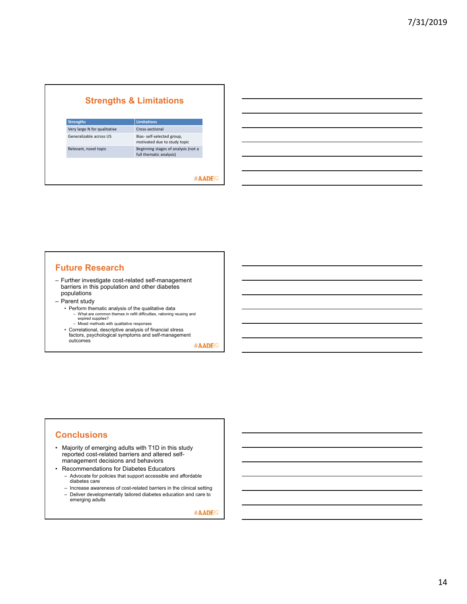| <b>Limitations</b>                                             |
|----------------------------------------------------------------|
| Cross-sectional                                                |
| Bias- self-selected group,<br>motivated due to study topic     |
| Beginning stages of analysis (not a<br>full thematic analysis) |
|                                                                |

## #AADE<sup>19</sup>

## **Future Research**

- Further investigate cost-related self-management barriers in this population and other diabetes populations
- Parent study
	- Perform thematic analysis of the qualitative data
		- What are common themes in refill difficulties, rationing reusing and expired supplies? – Mixed methods with qualitative responses
	- Correlational, descriptive analysis of financial stress factors, psychological symptoms and self-management outcomes

#AADE<sup>19</sup>

## **Conclusions**

- Majority of emerging adults with T1D in this study reported cost-related barriers and altered selfmanagement decisions and behaviors
- Recommendations for Diabetes Educators
	- Advocate for policies that support accessible and affordable diabetes care
	- Increase awareness of cost-related barriers in the clinical setting – Deliver developmentally tailored diabetes education and care to emerging adults